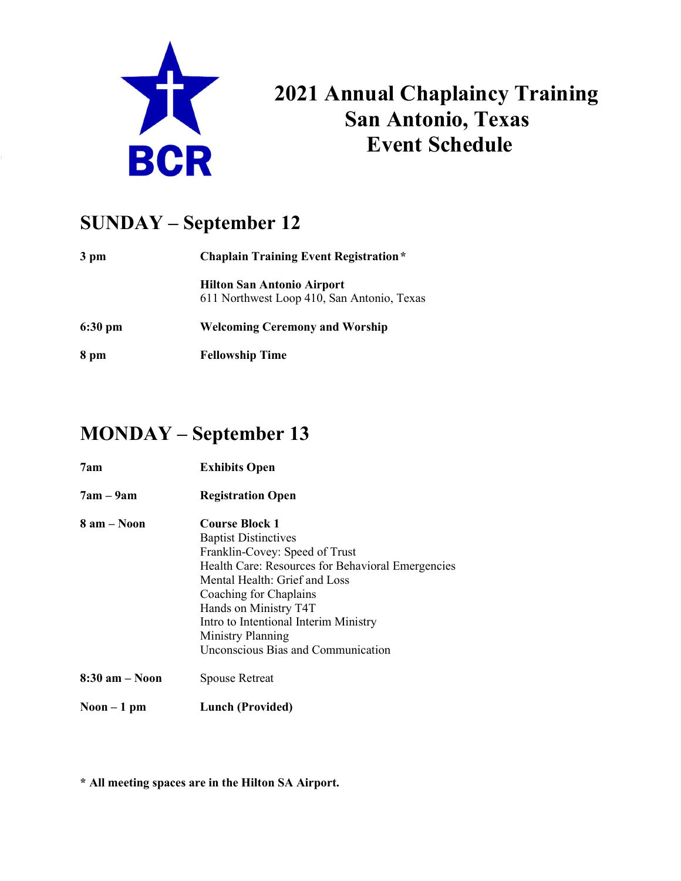

# 2021 Annual Chaplaincy Training<br>San Antonio, Texas San Antonio, Texas Event Schedule<br>
Event Schedule

#### SUNDAY – September 12

| 3 pm    | <b>Chaplain Training Event Registration</b> *                                   |
|---------|---------------------------------------------------------------------------------|
|         | <b>Hilton San Antonio Airport</b><br>611 Northwest Loop 410, San Antonio, Texas |
| 6:30 pm | <b>Welcoming Ceremony and Worship</b>                                           |
| 8 pm    | <b>Fellowship Time</b>                                                          |

#### MONDAY – September 13

- 7am Exhibits Open
- 7am 9am Registration Open
- 8 am Noon Course Block 1 Baptist Distinctives Franklin-Covey: Speed of Trust Health Care: Resources for Behavioral Emergencies Mental Health: Grief and Loss Coaching for Chaplains Hands on Ministry T4T Intro to Intentional Interim Ministry Ministry Planning Unconscious Bias and Communication 8:30 am – Noon Spouse Retreat
- Noon 1 pm Lunch (Provided)

\* All meeting spaces are in the Hilton SA Airport.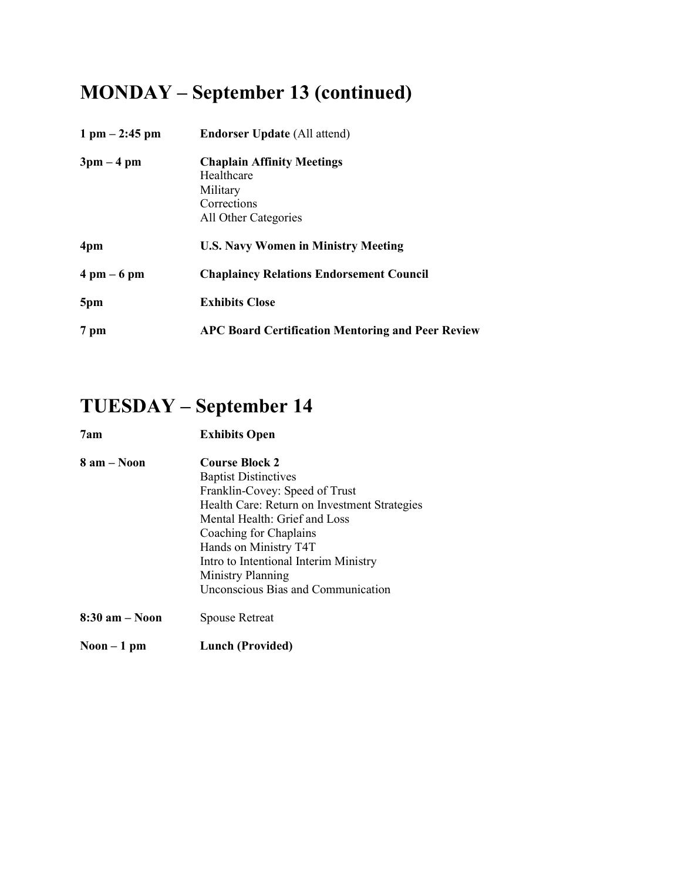## MONDAY – September 13 (continued)

| $1 \text{ pm} - 2:45 \text{ pm}$ | <b>Endorser Update (All attend)</b>                                                                |
|----------------------------------|----------------------------------------------------------------------------------------------------|
| $3pm-4pm$                        | <b>Chaplain Affinity Meetings</b><br>Healthcare<br>Military<br>Corrections<br>All Other Categories |
| 4pm                              | <b>U.S. Navy Women in Ministry Meeting</b>                                                         |
| $4 \text{ pm} - 6 \text{ pm}$    | <b>Chaplaincy Relations Endorsement Council</b>                                                    |
| 5pm                              | <b>Exhibits Close</b>                                                                              |
| 7 pm                             | <b>APC Board Certification Mentoring and Peer Review</b>                                           |

#### TUESDAY – September 14

| 7am                | <b>Exhibits Open</b>                         |
|--------------------|----------------------------------------------|
| $8$ am $-$ Noon    | <b>Course Block 2</b>                        |
|                    | <b>Baptist Distinctives</b>                  |
|                    | Franklin-Covey: Speed of Trust               |
|                    | Health Care: Return on Investment Strategies |
|                    | Mental Health: Grief and Loss                |
|                    | Coaching for Chaplains                       |
|                    | Hands on Ministry T4T                        |
|                    | Intro to Intentional Interim Ministry        |
|                    | Ministry Planning                            |
|                    | Unconscious Bias and Communication           |
| $8:30$ am $-$ Noon | <b>Spouse Retreat</b>                        |
| $Noon - 1 pm$      | Lunch (Provided)                             |